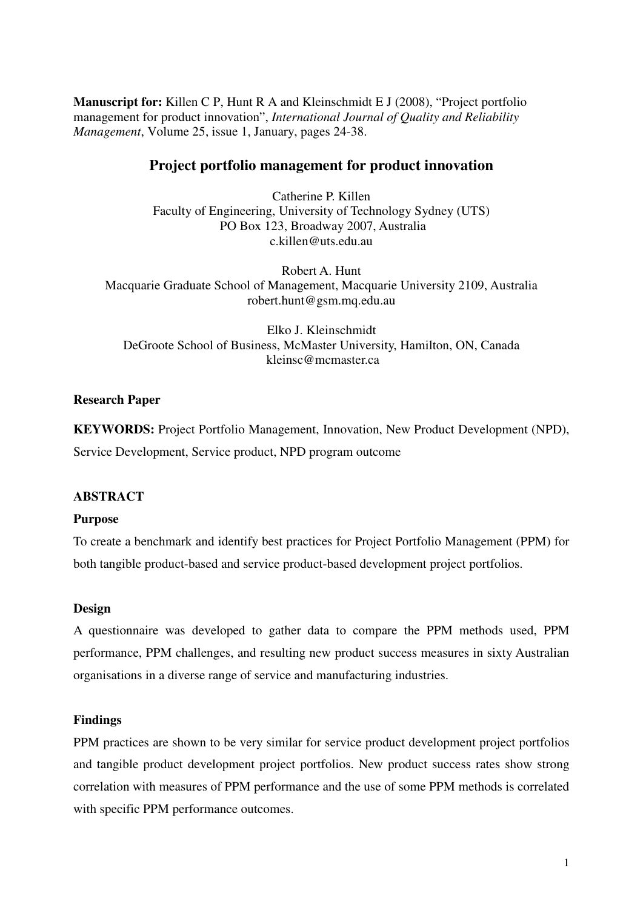**Manuscript for:** Killen C P, Hunt R A and Kleinschmidt E J (2008), "Project portfolio management for product innovation", *International Journal of Quality and Reliability Management*, Volume 25, issue 1, January, pages 24-38.

# **Project portfolio management for product innovation**

Catherine P. Killen Faculty of Engineering, University of Technology Sydney (UTS) PO Box 123, Broadway 2007, Australia c.killen@uts.edu.au

Robert A. Hunt Macquarie Graduate School of Management, Macquarie University 2109, Australia robert.hunt@gsm.mq.edu.au

Elko J. Kleinschmidt DeGroote School of Business, McMaster University, Hamilton, ON, Canada kleinsc@mcmaster.ca

# **Research Paper**

**KEYWORDS:** Project Portfolio Management, Innovation, New Product Development (NPD), Service Development, Service product, NPD program outcome

### **ABSTRACT**

# **Purpose**

To create a benchmark and identify best practices for Project Portfolio Management (PPM) for both tangible product-based and service product-based development project portfolios.

### **Design**

A questionnaire was developed to gather data to compare the PPM methods used, PPM performance, PPM challenges, and resulting new product success measures in sixty Australian organisations in a diverse range of service and manufacturing industries.

# **Findings**

PPM practices are shown to be very similar for service product development project portfolios and tangible product development project portfolios. New product success rates show strong correlation with measures of PPM performance and the use of some PPM methods is correlated with specific PPM performance outcomes.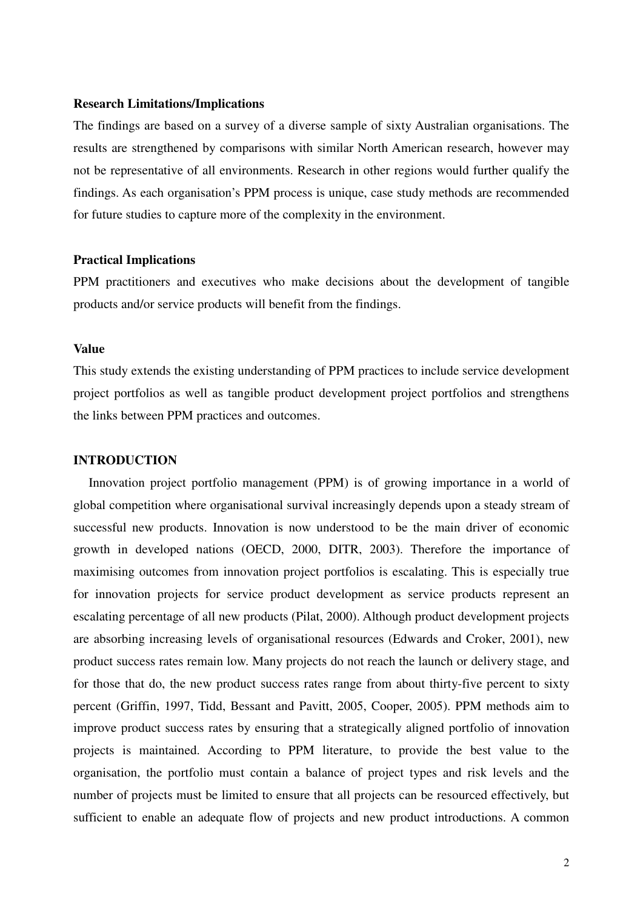### **Research Limitations/Implications**

The findings are based on a survey of a diverse sample of sixty Australian organisations. The results are strengthened by comparisons with similar North American research, however may not be representative of all environments. Research in other regions would further qualify the findings. As each organisation's PPM process is unique, case study methods are recommended for future studies to capture more of the complexity in the environment.

### **Practical Implications**

PPM practitioners and executives who make decisions about the development of tangible products and/or service products will benefit from the findings.

# **Value**

This study extends the existing understanding of PPM practices to include service development project portfolios as well as tangible product development project portfolios and strengthens the links between PPM practices and outcomes.

#### **INTRODUCTION**

Innovation project portfolio management (PPM) is of growing importance in a world of global competition where organisational survival increasingly depends upon a steady stream of successful new products. Innovation is now understood to be the main driver of economic growth in developed nations (OECD, 2000, DITR, 2003). Therefore the importance of maximising outcomes from innovation project portfolios is escalating. This is especially true for innovation projects for service product development as service products represent an escalating percentage of all new products (Pilat, 2000). Although product development projects are absorbing increasing levels of organisational resources (Edwards and Croker, 2001), new product success rates remain low. Many projects do not reach the launch or delivery stage, and for those that do, the new product success rates range from about thirty-five percent to sixty percent (Griffin, 1997, Tidd, Bessant and Pavitt, 2005, Cooper, 2005). PPM methods aim to improve product success rates by ensuring that a strategically aligned portfolio of innovation projects is maintained. According to PPM literature, to provide the best value to the organisation, the portfolio must contain a balance of project types and risk levels and the number of projects must be limited to ensure that all projects can be resourced effectively, but sufficient to enable an adequate flow of projects and new product introductions. A common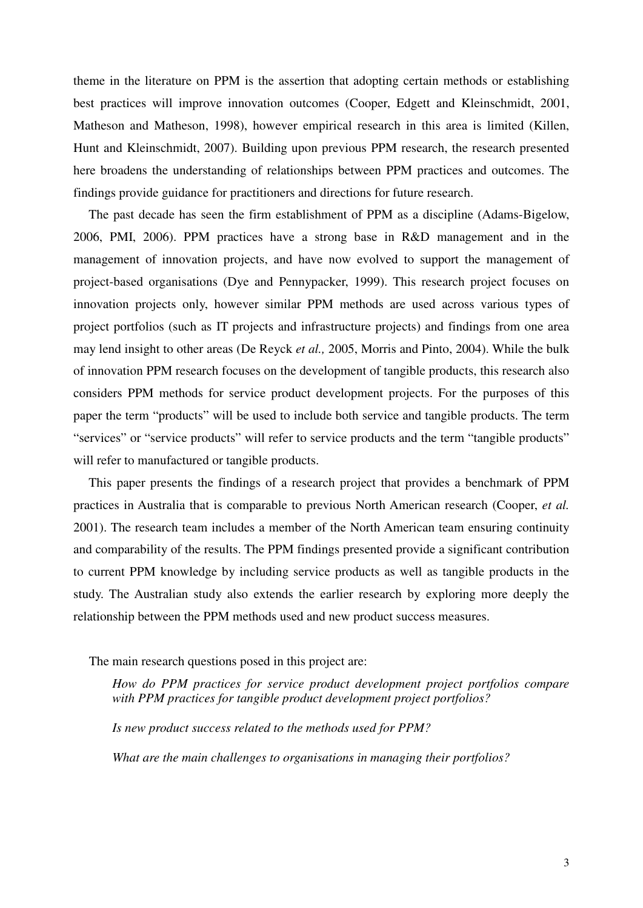theme in the literature on PPM is the assertion that adopting certain methods or establishing best practices will improve innovation outcomes (Cooper, Edgett and Kleinschmidt, 2001, Matheson and Matheson, 1998), however empirical research in this area is limited (Killen, Hunt and Kleinschmidt, 2007). Building upon previous PPM research, the research presented here broadens the understanding of relationships between PPM practices and outcomes. The findings provide guidance for practitioners and directions for future research.

The past decade has seen the firm establishment of PPM as a discipline (Adams-Bigelow, 2006, PMI, 2006). PPM practices have a strong base in R&D management and in the management of innovation projects, and have now evolved to support the management of project-based organisations (Dye and Pennypacker, 1999). This research project focuses on innovation projects only, however similar PPM methods are used across various types of project portfolios (such as IT projects and infrastructure projects) and findings from one area may lend insight to other areas (De Reyck *et al.,* 2005, Morris and Pinto, 2004). While the bulk of innovation PPM research focuses on the development of tangible products, this research also considers PPM methods for service product development projects. For the purposes of this paper the term "products" will be used to include both service and tangible products. The term "services" or "service products" will refer to service products and the term "tangible products" will refer to manufactured or tangible products.

This paper presents the findings of a research project that provides a benchmark of PPM practices in Australia that is comparable to previous North American research (Cooper, *et al.* 2001). The research team includes a member of the North American team ensuring continuity and comparability of the results. The PPM findings presented provide a significant contribution to current PPM knowledge by including service products as well as tangible products in the study. The Australian study also extends the earlier research by exploring more deeply the relationship between the PPM methods used and new product success measures.

The main research questions posed in this project are:

*How do PPM practices for service product development project portfolios compare with PPM practices for tangible product development project portfolios?* 

*Is new product success related to the methods used for PPM? What are the main challenges to organisations in managing their portfolios?*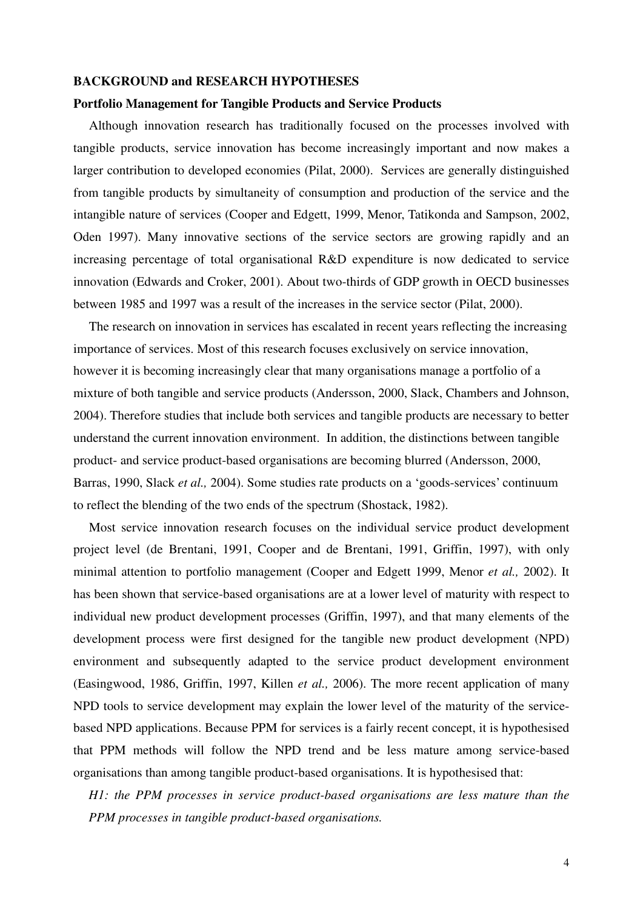# **BACKGROUND and RESEARCH HYPOTHESES**

#### **Portfolio Management for Tangible Products and Service Products**

Although innovation research has traditionally focused on the processes involved with tangible products, service innovation has become increasingly important and now makes a larger contribution to developed economies (Pilat, 2000). Services are generally distinguished from tangible products by simultaneity of consumption and production of the service and the intangible nature of services (Cooper and Edgett, 1999, Menor, Tatikonda and Sampson, 2002, Oden 1997). Many innovative sections of the service sectors are growing rapidly and an increasing percentage of total organisational R&D expenditure is now dedicated to service innovation (Edwards and Croker, 2001). About two-thirds of GDP growth in OECD businesses between 1985 and 1997 was a result of the increases in the service sector (Pilat, 2000).

The research on innovation in services has escalated in recent years reflecting the increasing importance of services. Most of this research focuses exclusively on service innovation, however it is becoming increasingly clear that many organisations manage a portfolio of a mixture of both tangible and service products (Andersson, 2000, Slack, Chambers and Johnson, 2004). Therefore studies that include both services and tangible products are necessary to better understand the current innovation environment. In addition, the distinctions between tangible product- and service product-based organisations are becoming blurred (Andersson, 2000, Barras, 1990, Slack *et al.,* 2004). Some studies rate products on a 'goods-services' continuum to reflect the blending of the two ends of the spectrum (Shostack, 1982).

Most service innovation research focuses on the individual service product development project level (de Brentani, 1991, Cooper and de Brentani, 1991, Griffin, 1997), with only minimal attention to portfolio management (Cooper and Edgett 1999, Menor *et al.,* 2002). It has been shown that service-based organisations are at a lower level of maturity with respect to individual new product development processes (Griffin, 1997), and that many elements of the development process were first designed for the tangible new product development (NPD) environment and subsequently adapted to the service product development environment (Easingwood, 1986, Griffin, 1997, Killen *et al.,* 2006). The more recent application of many NPD tools to service development may explain the lower level of the maturity of the servicebased NPD applications. Because PPM for services is a fairly recent concept, it is hypothesised that PPM methods will follow the NPD trend and be less mature among service-based organisations than among tangible product-based organisations. It is hypothesised that:

*H1: the PPM processes in service product-based organisations are less mature than the PPM processes in tangible product-based organisations.*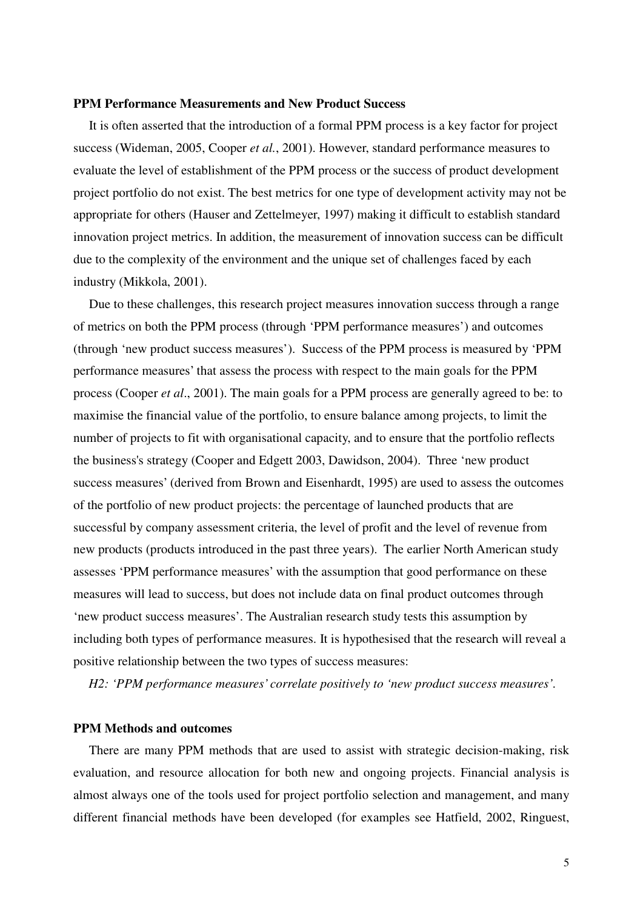### **PPM Performance Measurements and New Product Success**

It is often asserted that the introduction of a formal PPM process is a key factor for project success (Wideman, 2005, Cooper *et al.*, 2001). However, standard performance measures to evaluate the level of establishment of the PPM process or the success of product development project portfolio do not exist. The best metrics for one type of development activity may not be appropriate for others (Hauser and Zettelmeyer, 1997) making it difficult to establish standard innovation project metrics. In addition, the measurement of innovation success can be difficult due to the complexity of the environment and the unique set of challenges faced by each industry (Mikkola, 2001).

Due to these challenges, this research project measures innovation success through a range of metrics on both the PPM process (through 'PPM performance measures') and outcomes (through 'new product success measures'). Success of the PPM process is measured by 'PPM performance measures' that assess the process with respect to the main goals for the PPM process (Cooper *et al*., 2001). The main goals for a PPM process are generally agreed to be: to maximise the financial value of the portfolio, to ensure balance among projects, to limit the number of projects to fit with organisational capacity, and to ensure that the portfolio reflects the business's strategy (Cooper and Edgett 2003, Dawidson, 2004). Three 'new product success measures' (derived from Brown and Eisenhardt, 1995) are used to assess the outcomes of the portfolio of new product projects: the percentage of launched products that are successful by company assessment criteria, the level of profit and the level of revenue from new products (products introduced in the past three years). The earlier North American study assesses 'PPM performance measures' with the assumption that good performance on these measures will lead to success, but does not include data on final product outcomes through 'new product success measures'. The Australian research study tests this assumption by including both types of performance measures. It is hypothesised that the research will reveal a positive relationship between the two types of success measures:

*H2: 'PPM performance measures' correlate positively to 'new product success measures'.* 

# **PPM Methods and outcomes**

There are many PPM methods that are used to assist with strategic decision-making, risk evaluation, and resource allocation for both new and ongoing projects. Financial analysis is almost always one of the tools used for project portfolio selection and management, and many different financial methods have been developed (for examples see Hatfield, 2002, Ringuest,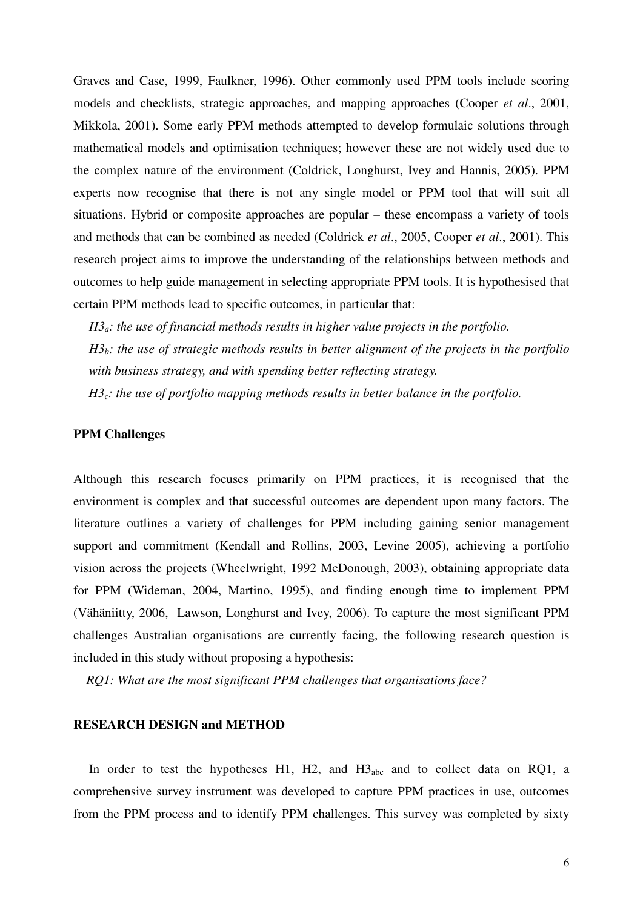Graves and Case, 1999, Faulkner, 1996). Other commonly used PPM tools include scoring models and checklists, strategic approaches, and mapping approaches (Cooper *et al*., 2001, Mikkola, 2001). Some early PPM methods attempted to develop formulaic solutions through mathematical models and optimisation techniques; however these are not widely used due to the complex nature of the environment (Coldrick, Longhurst, Ivey and Hannis, 2005). PPM experts now recognise that there is not any single model or PPM tool that will suit all situations. Hybrid or composite approaches are popular – these encompass a variety of tools and methods that can be combined as needed (Coldrick *et al*., 2005, Cooper *et al*., 2001). This research project aims to improve the understanding of the relationships between methods and outcomes to help guide management in selecting appropriate PPM tools. It is hypothesised that certain PPM methods lead to specific outcomes, in particular that:

*H3a: the use of financial methods results in higher value projects in the portfolio.* 

*H3b: the use of strategic methods results in better alignment of the projects in the portfolio with business strategy, and with spending better reflecting strategy.* 

*H3c: the use of portfolio mapping methods results in better balance in the portfolio.* 

### **PPM Challenges**

Although this research focuses primarily on PPM practices, it is recognised that the environment is complex and that successful outcomes are dependent upon many factors. The literature outlines a variety of challenges for PPM including gaining senior management support and commitment (Kendall and Rollins, 2003, Levine 2005), achieving a portfolio vision across the projects (Wheelwright, 1992 McDonough, 2003), obtaining appropriate data for PPM (Wideman, 2004, Martino, 1995), and finding enough time to implement PPM (Vähäniitty, 2006, Lawson, Longhurst and Ivey, 2006). To capture the most significant PPM challenges Australian organisations are currently facing, the following research question is included in this study without proposing a hypothesis:

 *RQ1: What are the most significant PPM challenges that organisations face?* 

# **RESEARCH DESIGN and METHOD**

In order to test the hypotheses H1, H2, and H3<sub>abc</sub> and to collect data on RQ1, a comprehensive survey instrument was developed to capture PPM practices in use, outcomes from the PPM process and to identify PPM challenges. This survey was completed by sixty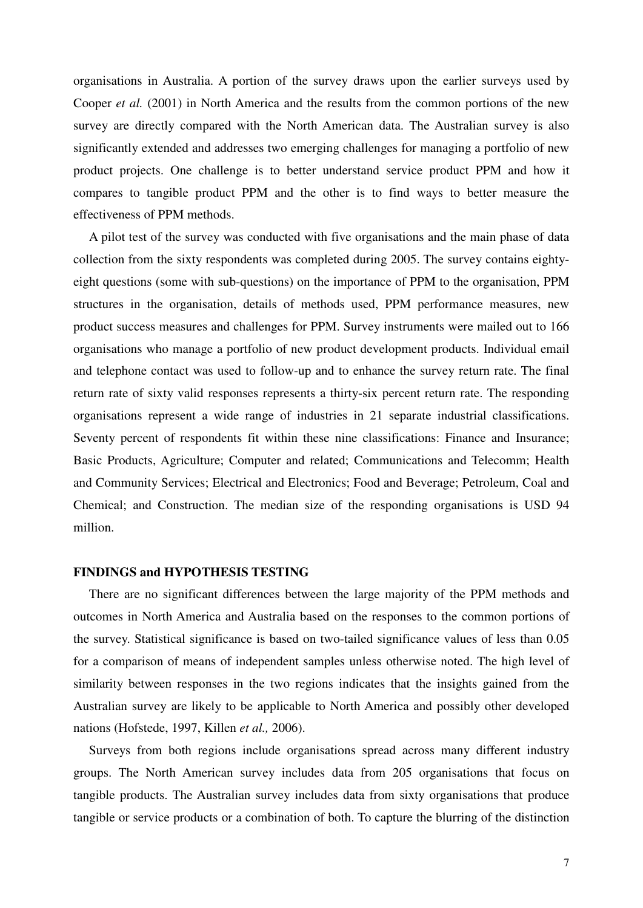organisations in Australia. A portion of the survey draws upon the earlier surveys used by Cooper *et al.* (2001) in North America and the results from the common portions of the new survey are directly compared with the North American data. The Australian survey is also significantly extended and addresses two emerging challenges for managing a portfolio of new product projects. One challenge is to better understand service product PPM and how it compares to tangible product PPM and the other is to find ways to better measure the effectiveness of PPM methods.

A pilot test of the survey was conducted with five organisations and the main phase of data collection from the sixty respondents was completed during 2005. The survey contains eightyeight questions (some with sub-questions) on the importance of PPM to the organisation, PPM structures in the organisation, details of methods used, PPM performance measures, new product success measures and challenges for PPM. Survey instruments were mailed out to 166 organisations who manage a portfolio of new product development products. Individual email and telephone contact was used to follow-up and to enhance the survey return rate. The final return rate of sixty valid responses represents a thirty-six percent return rate. The responding organisations represent a wide range of industries in 21 separate industrial classifications. Seventy percent of respondents fit within these nine classifications: Finance and Insurance; Basic Products, Agriculture; Computer and related; Communications and Telecomm; Health and Community Services; Electrical and Electronics; Food and Beverage; Petroleum, Coal and Chemical; and Construction. The median size of the responding organisations is USD 94 million.

### **FINDINGS and HYPOTHESIS TESTING**

There are no significant differences between the large majority of the PPM methods and outcomes in North America and Australia based on the responses to the common portions of the survey. Statistical significance is based on two-tailed significance values of less than 0.05 for a comparison of means of independent samples unless otherwise noted. The high level of similarity between responses in the two regions indicates that the insights gained from the Australian survey are likely to be applicable to North America and possibly other developed nations (Hofstede, 1997, Killen *et al.,* 2006).

Surveys from both regions include organisations spread across many different industry groups. The North American survey includes data from 205 organisations that focus on tangible products. The Australian survey includes data from sixty organisations that produce tangible or service products or a combination of both. To capture the blurring of the distinction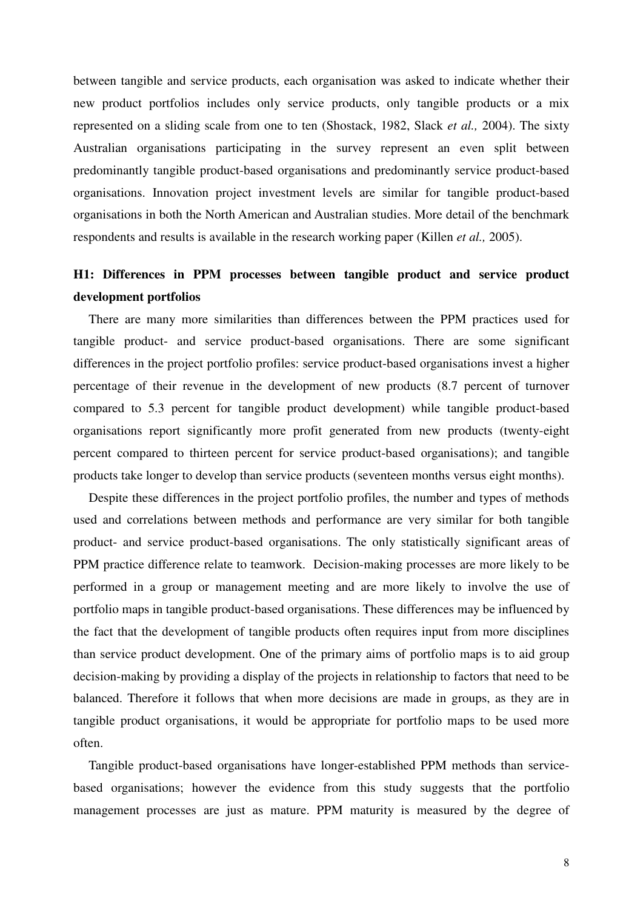between tangible and service products, each organisation was asked to indicate whether their new product portfolios includes only service products, only tangible products or a mix represented on a sliding scale from one to ten (Shostack, 1982, Slack *et al.,* 2004). The sixty Australian organisations participating in the survey represent an even split between predominantly tangible product-based organisations and predominantly service product-based organisations. Innovation project investment levels are similar for tangible product-based organisations in both the North American and Australian studies. More detail of the benchmark respondents and results is available in the research working paper (Killen *et al.,* 2005).

# **H1: Differences in PPM processes between tangible product and service product development portfolios**

There are many more similarities than differences between the PPM practices used for tangible product- and service product-based organisations. There are some significant differences in the project portfolio profiles: service product-based organisations invest a higher percentage of their revenue in the development of new products (8.7 percent of turnover compared to 5.3 percent for tangible product development) while tangible product-based organisations report significantly more profit generated from new products (twenty-eight percent compared to thirteen percent for service product-based organisations); and tangible products take longer to develop than service products (seventeen months versus eight months).

Despite these differences in the project portfolio profiles, the number and types of methods used and correlations between methods and performance are very similar for both tangible product- and service product-based organisations. The only statistically significant areas of PPM practice difference relate to teamwork. Decision-making processes are more likely to be performed in a group or management meeting and are more likely to involve the use of portfolio maps in tangible product-based organisations. These differences may be influenced by the fact that the development of tangible products often requires input from more disciplines than service product development. One of the primary aims of portfolio maps is to aid group decision-making by providing a display of the projects in relationship to factors that need to be balanced. Therefore it follows that when more decisions are made in groups, as they are in tangible product organisations, it would be appropriate for portfolio maps to be used more often.

Tangible product-based organisations have longer-established PPM methods than servicebased organisations; however the evidence from this study suggests that the portfolio management processes are just as mature. PPM maturity is measured by the degree of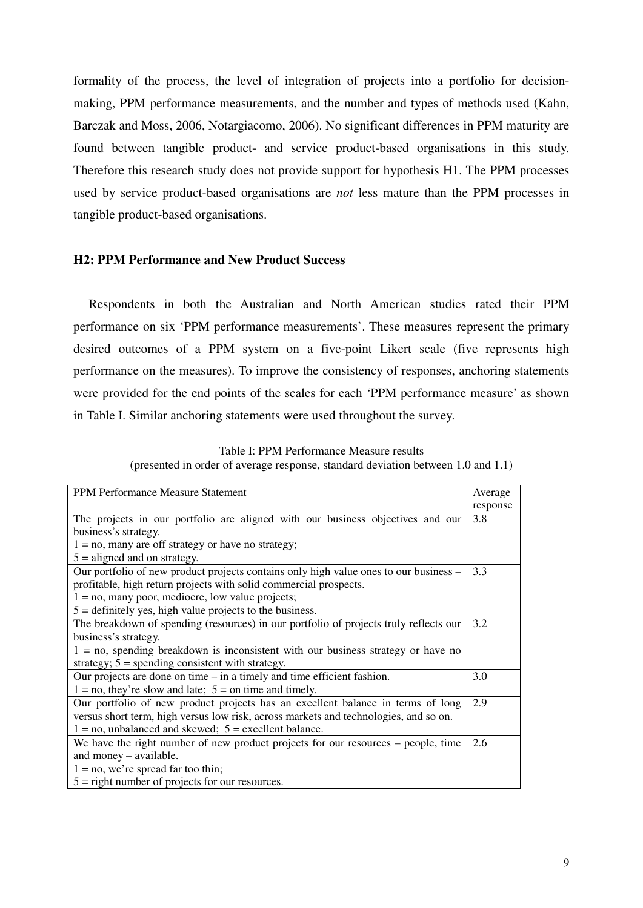formality of the process, the level of integration of projects into a portfolio for decisionmaking, PPM performance measurements, and the number and types of methods used (Kahn, Barczak and Moss, 2006, Notargiacomo, 2006). No significant differences in PPM maturity are found between tangible product- and service product-based organisations in this study. Therefore this research study does not provide support for hypothesis H1. The PPM processes used by service product-based organisations are *not* less mature than the PPM processes in tangible product-based organisations.

# **H2: PPM Performance and New Product Success**

Respondents in both the Australian and North American studies rated their PPM performance on six 'PPM performance measurements'. These measures represent the primary desired outcomes of a PPM system on a five-point Likert scale (five represents high performance on the measures). To improve the consistency of responses, anchoring statements were provided for the end points of the scales for each 'PPM performance measure' as shown in Table I. Similar anchoring statements were used throughout the survey.

Table I: PPM Performance Measure results (presented in order of average response, standard deviation between 1.0 and 1.1)

| PPM Performance Measure Statement                                                     | Average  |
|---------------------------------------------------------------------------------------|----------|
|                                                                                       | response |
| The projects in our portfolio are aligned with our business objectives and our        | 3.8      |
| business's strategy.                                                                  |          |
| $1 = no$ , many are off strategy or have no strategy;                                 |          |
| $5 =$ aligned and on strategy.                                                        |          |
| Our portfolio of new product projects contains only high value ones to our business – | 3.3      |
| profitable, high return projects with solid commercial prospects.                     |          |
| $1 = no$ , many poor, mediocre, low value projects;                                   |          |
| $5 =$ definitely yes, high value projects to the business.                            |          |
| The breakdown of spending (resources) in our portfolio of projects truly reflects our | 3.2      |
| business's strategy.                                                                  |          |
| $1 = no$ , spending breakdown is inconsistent with our business strategy or have no   |          |
| strategy; $5 =$ spending consistent with strategy.                                    |          |
| Our projects are done on time $-$ in a timely and time efficient fashion.             | 3.0      |
| $1 = no$ , they're slow and late; $5 = on$ time and timely.                           |          |
| Our portfolio of new product projects has an excellent balance in terms of long       | 2.9      |
| versus short term, high versus low risk, across markets and technologies, and so on.  |          |
| $1 = no$ , unbalanced and skewed; $5 =$ excellent balance.                            |          |
| We have the right number of new product projects for our resources – people, time     | 2.6      |
| and money - available.                                                                |          |
| $1 = no$ , we're spread far too thin;                                                 |          |
| $5 =$ right number of projects for our resources.                                     |          |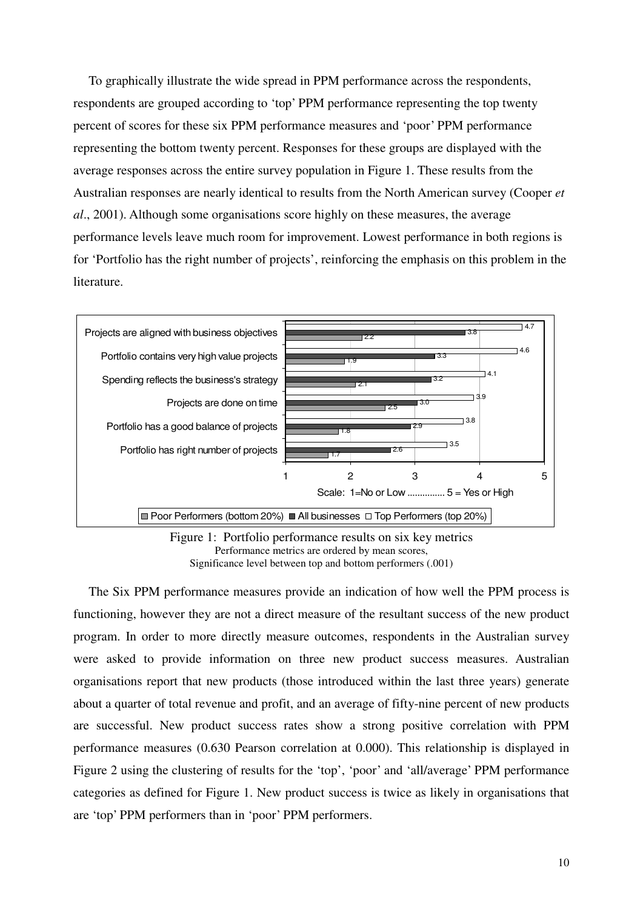To graphically illustrate the wide spread in PPM performance across the respondents, respondents are grouped according to 'top' PPM performance representing the top twenty percent of scores for these six PPM performance measures and 'poor' PPM performance representing the bottom twenty percent. Responses for these groups are displayed with the average responses across the entire survey population in Figure 1. These results from the Australian responses are nearly identical to results from the North American survey (Cooper *et al*., 2001). Although some organisations score highly on these measures, the average performance levels leave much room for improvement. Lowest performance in both regions is for 'Portfolio has the right number of projects', reinforcing the emphasis on this problem in the literature.



Figure 1: Portfolio performance results on six key metrics Performance metrics are ordered by mean scores, Significance level between top and bottom performers (.001)

The Six PPM performance measures provide an indication of how well the PPM process is functioning, however they are not a direct measure of the resultant success of the new product program. In order to more directly measure outcomes, respondents in the Australian survey were asked to provide information on three new product success measures. Australian organisations report that new products (those introduced within the last three years) generate about a quarter of total revenue and profit, and an average of fifty-nine percent of new products are successful. New product success rates show a strong positive correlation with PPM performance measures (0.630 Pearson correlation at 0.000). This relationship is displayed in Figure 2 using the clustering of results for the 'top', 'poor' and 'all/average' PPM performance categories as defined for Figure 1. New product success is twice as likely in organisations that are 'top' PPM performers than in 'poor' PPM performers.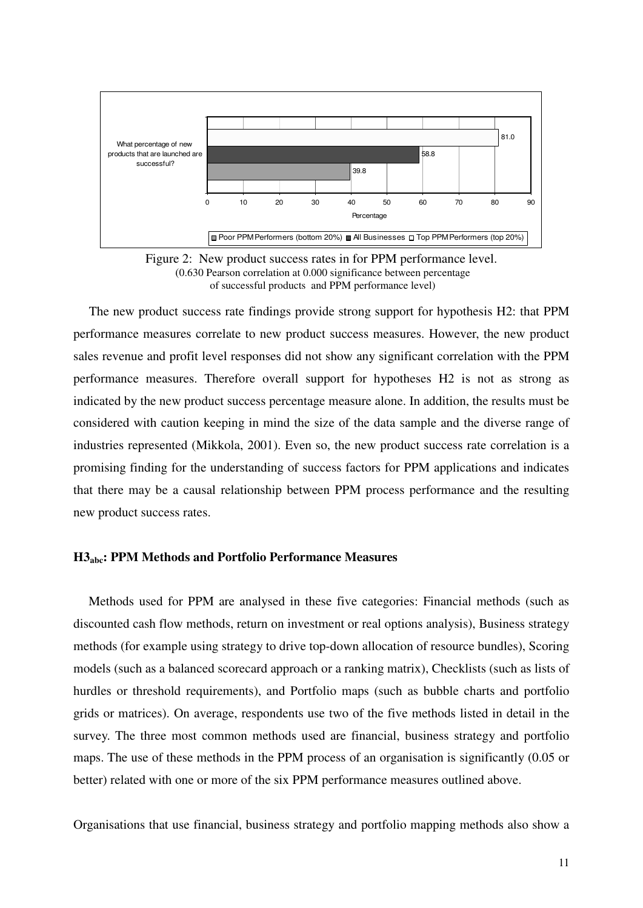

Figure 2: New product success rates in for PPM performance level. (0.630 Pearson correlation at 0.000 significance between percentage of successful products and PPM performance level)

The new product success rate findings provide strong support for hypothesis H2: that PPM performance measures correlate to new product success measures. However, the new product sales revenue and profit level responses did not show any significant correlation with the PPM performance measures. Therefore overall support for hypotheses H2 is not as strong as indicated by the new product success percentage measure alone. In addition, the results must be considered with caution keeping in mind the size of the data sample and the diverse range of industries represented (Mikkola, 2001). Even so, the new product success rate correlation is a promising finding for the understanding of success factors for PPM applications and indicates that there may be a causal relationship between PPM process performance and the resulting new product success rates.

#### **H3abc: PPM Methods and Portfolio Performance Measures**

Methods used for PPM are analysed in these five categories: Financial methods (such as discounted cash flow methods, return on investment or real options analysis), Business strategy methods (for example using strategy to drive top-down allocation of resource bundles), Scoring models (such as a balanced scorecard approach or a ranking matrix), Checklists (such as lists of hurdles or threshold requirements), and Portfolio maps (such as bubble charts and portfolio grids or matrices). On average, respondents use two of the five methods listed in detail in the survey. The three most common methods used are financial, business strategy and portfolio maps. The use of these methods in the PPM process of an organisation is significantly (0.05 or better) related with one or more of the six PPM performance measures outlined above.

Organisations that use financial, business strategy and portfolio mapping methods also show a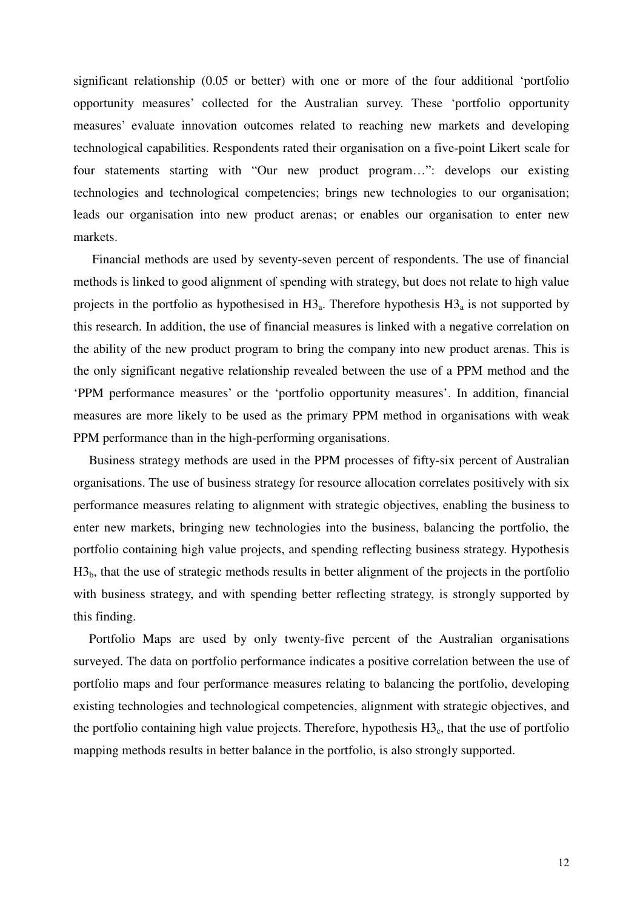significant relationship (0.05 or better) with one or more of the four additional 'portfolio opportunity measures' collected for the Australian survey. These 'portfolio opportunity measures' evaluate innovation outcomes related to reaching new markets and developing technological capabilities. Respondents rated their organisation on a five-point Likert scale for four statements starting with "Our new product program…": develops our existing technologies and technological competencies; brings new technologies to our organisation; leads our organisation into new product arenas; or enables our organisation to enter new markets.

 Financial methods are used by seventy-seven percent of respondents. The use of financial methods is linked to good alignment of spending with strategy, but does not relate to high value projects in the portfolio as hypothesised in  $H3_a$ . Therefore hypothesis  $H3_a$  is not supported by this research. In addition, the use of financial measures is linked with a negative correlation on the ability of the new product program to bring the company into new product arenas. This is the only significant negative relationship revealed between the use of a PPM method and the 'PPM performance measures' or the 'portfolio opportunity measures'. In addition, financial measures are more likely to be used as the primary PPM method in organisations with weak PPM performance than in the high-performing organisations.

Business strategy methods are used in the PPM processes of fifty-six percent of Australian organisations. The use of business strategy for resource allocation correlates positively with six performance measures relating to alignment with strategic objectives, enabling the business to enter new markets, bringing new technologies into the business, balancing the portfolio, the portfolio containing high value projects, and spending reflecting business strategy. Hypothesis  $H3<sub>b</sub>$ , that the use of strategic methods results in better alignment of the projects in the portfolio with business strategy, and with spending better reflecting strategy, is strongly supported by this finding.

Portfolio Maps are used by only twenty-five percent of the Australian organisations surveyed. The data on portfolio performance indicates a positive correlation between the use of portfolio maps and four performance measures relating to balancing the portfolio, developing existing technologies and technological competencies, alignment with strategic objectives, and the portfolio containing high value projects. Therefore, hypothesis  $H3<sub>c</sub>$ , that the use of portfolio mapping methods results in better balance in the portfolio, is also strongly supported.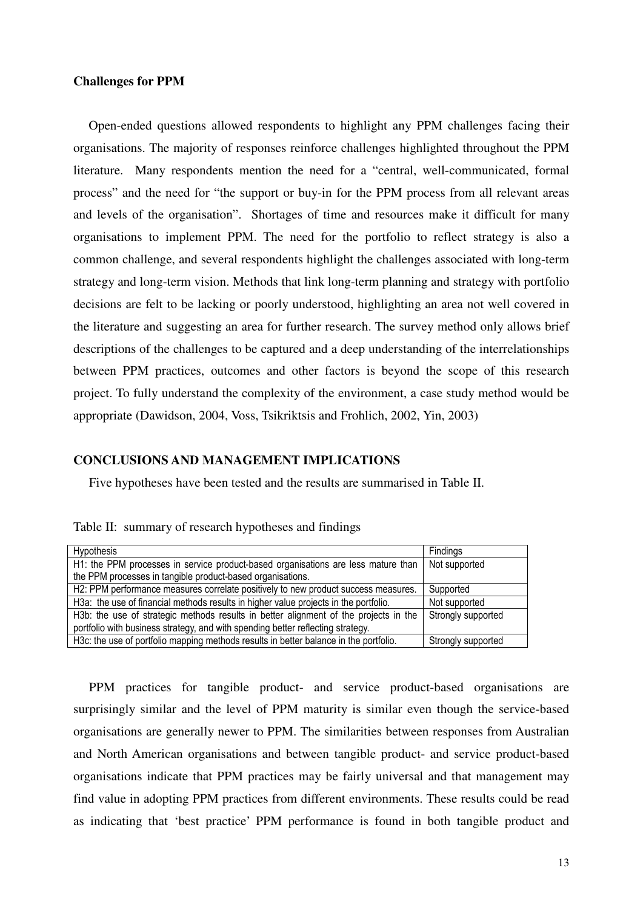# **Challenges for PPM**

Open-ended questions allowed respondents to highlight any PPM challenges facing their organisations. The majority of responses reinforce challenges highlighted throughout the PPM literature. Many respondents mention the need for a "central, well-communicated, formal process" and the need for "the support or buy-in for the PPM process from all relevant areas and levels of the organisation". Shortages of time and resources make it difficult for many organisations to implement PPM. The need for the portfolio to reflect strategy is also a common challenge, and several respondents highlight the challenges associated with long-term strategy and long-term vision. Methods that link long-term planning and strategy with portfolio decisions are felt to be lacking or poorly understood, highlighting an area not well covered in the literature and suggesting an area for further research. The survey method only allows brief descriptions of the challenges to be captured and a deep understanding of the interrelationships between PPM practices, outcomes and other factors is beyond the scope of this research project. To fully understand the complexity of the environment, a case study method would be appropriate (Dawidson, 2004, Voss, Tsikriktsis and Frohlich, 2002, Yin, 2003)

### **CONCLUSIONS AND MANAGEMENT IMPLICATIONS**

Five hypotheses have been tested and the results are summarised in Table II.

| <b>Hypothesis</b>                                                                     | <b>Findings</b>    |
|---------------------------------------------------------------------------------------|--------------------|
| H1: the PPM processes in service product-based organisations are less mature than     | Not supported      |
| the PPM processes in tangible product-based organisations.                            |                    |
| H2: PPM performance measures correlate positively to new product success measures.    | Supported          |
| H3a: the use of financial methods results in higher value projects in the portfolio.  | Not supported      |
| H3b: the use of strategic methods results in better alignment of the projects in the  | Strongly supported |
| portfolio with business strategy, and with spending better reflecting strategy.       |                    |
| H3c: the use of portfolio mapping methods results in better balance in the portfolio. | Strongly supported |

Table II: summary of research hypotheses and findings

PPM practices for tangible product- and service product-based organisations are surprisingly similar and the level of PPM maturity is similar even though the service-based organisations are generally newer to PPM. The similarities between responses from Australian and North American organisations and between tangible product- and service product-based organisations indicate that PPM practices may be fairly universal and that management may find value in adopting PPM practices from different environments. These results could be read as indicating that 'best practice' PPM performance is found in both tangible product and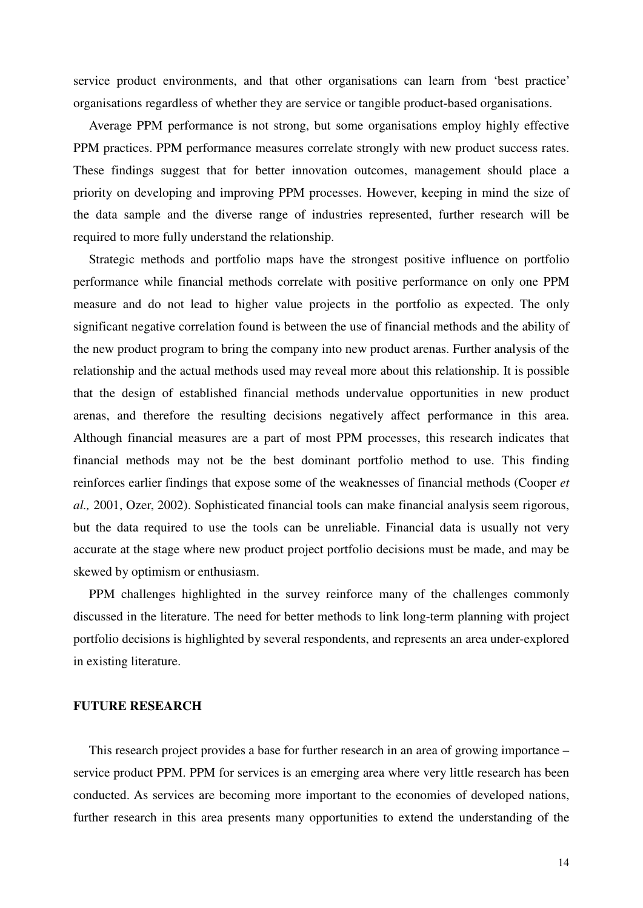service product environments, and that other organisations can learn from 'best practice' organisations regardless of whether they are service or tangible product-based organisations.

Average PPM performance is not strong, but some organisations employ highly effective PPM practices. PPM performance measures correlate strongly with new product success rates. These findings suggest that for better innovation outcomes, management should place a priority on developing and improving PPM processes. However, keeping in mind the size of the data sample and the diverse range of industries represented, further research will be required to more fully understand the relationship.

Strategic methods and portfolio maps have the strongest positive influence on portfolio performance while financial methods correlate with positive performance on only one PPM measure and do not lead to higher value projects in the portfolio as expected. The only significant negative correlation found is between the use of financial methods and the ability of the new product program to bring the company into new product arenas. Further analysis of the relationship and the actual methods used may reveal more about this relationship. It is possible that the design of established financial methods undervalue opportunities in new product arenas, and therefore the resulting decisions negatively affect performance in this area. Although financial measures are a part of most PPM processes, this research indicates that financial methods may not be the best dominant portfolio method to use. This finding reinforces earlier findings that expose some of the weaknesses of financial methods (Cooper *et al.,* 2001, Ozer, 2002). Sophisticated financial tools can make financial analysis seem rigorous, but the data required to use the tools can be unreliable. Financial data is usually not very accurate at the stage where new product project portfolio decisions must be made, and may be skewed by optimism or enthusiasm.

PPM challenges highlighted in the survey reinforce many of the challenges commonly discussed in the literature. The need for better methods to link long-term planning with project portfolio decisions is highlighted by several respondents, and represents an area under-explored in existing literature.

# **FUTURE RESEARCH**

This research project provides a base for further research in an area of growing importance – service product PPM. PPM for services is an emerging area where very little research has been conducted. As services are becoming more important to the economies of developed nations, further research in this area presents many opportunities to extend the understanding of the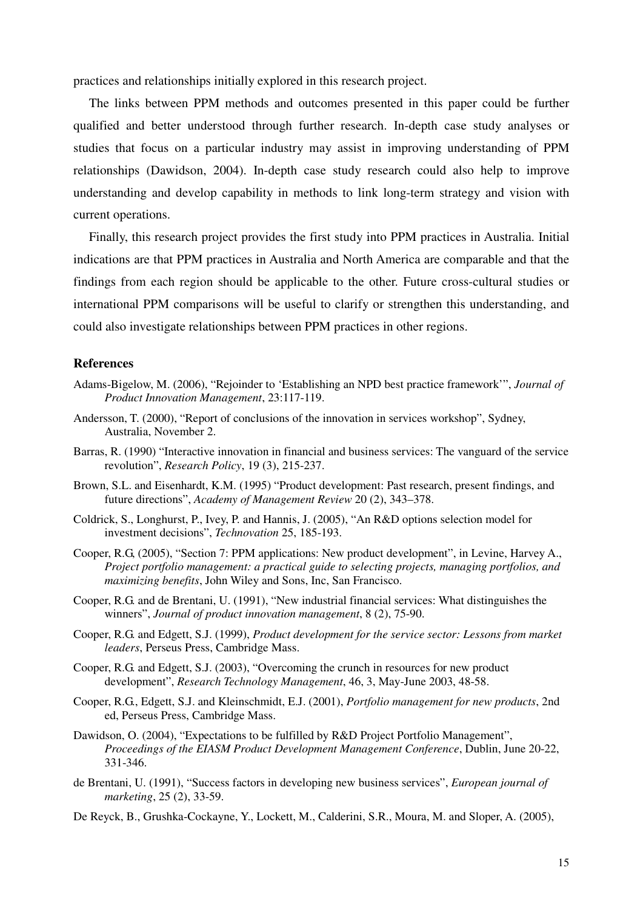practices and relationships initially explored in this research project.

The links between PPM methods and outcomes presented in this paper could be further qualified and better understood through further research. In-depth case study analyses or studies that focus on a particular industry may assist in improving understanding of PPM relationships (Dawidson, 2004). In-depth case study research could also help to improve understanding and develop capability in methods to link long-term strategy and vision with current operations.

Finally, this research project provides the first study into PPM practices in Australia. Initial indications are that PPM practices in Australia and North America are comparable and that the findings from each region should be applicable to the other. Future cross-cultural studies or international PPM comparisons will be useful to clarify or strengthen this understanding, and could also investigate relationships between PPM practices in other regions.

### **References**

- Adams-Bigelow, M. (2006), "Rejoinder to 'Establishing an NPD best practice framework'", *Journal of Product Innovation Management*, 23:117-119.
- Andersson, T. (2000), "Report of conclusions of the innovation in services workshop", Sydney, Australia, November 2.
- Barras, R. (1990) "Interactive innovation in financial and business services: The vanguard of the service revolution", *Research Policy*, 19 (3), 215-237.
- Brown, S.L. and Eisenhardt, K.M. (1995) "Product development: Past research, present findings, and future directions", *Academy of Management Review* 20 (2), 343–378.
- Coldrick, S., Longhurst, P., Ivey, P. and Hannis, J. (2005), "An R&D options selection model for investment decisions", *Technovation* 25, 185-193.
- Cooper, R.G, (2005), "Section 7: PPM applications: New product development", in Levine, Harvey A., *Project portfolio management: a practical guide to selecting projects, managing portfolios, and maximizing benefits*, John Wiley and Sons, Inc, San Francisco.
- Cooper, R.G. and de Brentani, U. (1991), "New industrial financial services: What distinguishes the winners", *Journal of product innovation management*, 8 (2), 75-90.
- Cooper, R.G. and Edgett, S.J. (1999), *Product development for the service sector: Lessons from market leaders*, Perseus Press, Cambridge Mass.
- Cooper, R.G. and Edgett, S.J. (2003), "Overcoming the crunch in resources for new product development", *Research Technology Management*, 46, 3, May-June 2003, 48-58.
- Cooper, R.G., Edgett, S.J. and Kleinschmidt, E.J. (2001), *Portfolio management for new products*, 2nd ed, Perseus Press, Cambridge Mass.
- Dawidson, O. (2004), "Expectations to be fulfilled by R&D Project Portfolio Management", *Proceedings of the EIASM Product Development Management Conference*, Dublin, June 20-22, 331-346.
- de Brentani, U. (1991), "Success factors in developing new business services", *European journal of marketing*, 25 (2), 33-59.
- De Reyck, B., Grushka-Cockayne, Y., Lockett, M., Calderini, S.R., Moura, M. and Sloper, A. (2005),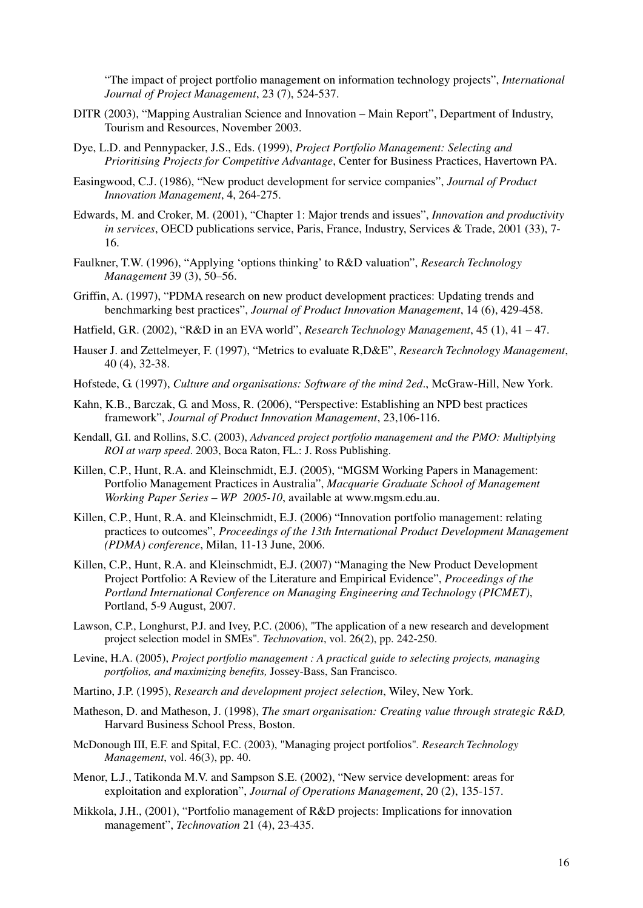"The impact of project portfolio management on information technology projects", *International Journal of Project Management*, 23 (7), 524-537.

- DITR (2003), "Mapping Australian Science and Innovation Main Report", Department of Industry, Tourism and Resources, November 2003.
- Dye, L.D. and Pennypacker, J.S., Eds. (1999), *Project Portfolio Management: Selecting and Prioritising Projects for Competitive Advantage*, Center for Business Practices, Havertown PA.
- Easingwood, C.J. (1986), "New product development for service companies", *Journal of Product Innovation Management*, 4, 264-275.
- Edwards, M. and Croker, M. (2001), "Chapter 1: Major trends and issues", *Innovation and productivity in services*, OECD publications service, Paris, France, Industry, Services & Trade, 2001 (33), 7- 16.
- Faulkner, T.W. (1996), "Applying 'options thinking' to R&D valuation", *Research Technology Management* 39 (3), 50–56.
- Griffin, A. (1997), "PDMA research on new product development practices: Updating trends and benchmarking best practices", *Journal of Product Innovation Management*, 14 (6), 429-458.
- Hatfield, G.R. (2002), "R&D in an EVA world", *Research Technology Management*, 45 (1), 41 47.
- Hauser J. and Zettelmeyer, F. (1997), "Metrics to evaluate R,D&E", *Research Technology Management*, 40 (4), 32-38.
- Hofstede, G. (1997), *Culture and organisations: Software of the mind 2ed*., McGraw-Hill, New York.
- Kahn, K.B., Barczak, G. and Moss, R. (2006), "Perspective: Establishing an NPD best practices framework", *Journal of Product Innovation Management*, 23,106-116.
- Kendall, G.I. and Rollins, S.C. (2003), *Advanced project portfolio management and the PMO: Multiplying ROI at warp speed*. 2003, Boca Raton, FL.: J. Ross Publishing.
- Killen, C.P., Hunt, R.A. and Kleinschmidt, E.J. (2005), "MGSM Working Papers in Management: Portfolio Management Practices in Australia", *Macquarie Graduate School of Management Working Paper Series – WP 2005-10*, available at www.mgsm.edu.au.
- Killen, C.P., Hunt, R.A. and Kleinschmidt, E.J. (2006) "Innovation portfolio management: relating practices to outcomes", *Proceedings of the 13th International Product Development Management (PDMA) conference*, Milan, 11-13 June, 2006.
- Killen, C.P., Hunt, R.A. and Kleinschmidt, E.J. (2007) "Managing the New Product Development Project Portfolio: A Review of the Literature and Empirical Evidence", *Proceedings of the Portland International Conference on Managing Engineering and Technology (PICMET)*, Portland, 5-9 August, 2007.
- Lawson, C.P., Longhurst, P.J. and Ivey, P.C. (2006), "The application of a new research and development project selection model in SMEs"*. Technovation*, vol. 26(2), pp. 242-250.
- Levine, H.A. (2005), *Project portfolio management : A practical guide to selecting projects, managing portfolios, and maximizing benefits,* Jossey-Bass, San Francisco.
- Martino, J.P. (1995), *Research and development project selection*, Wiley, New York.
- Matheson, D. and Matheson, J. (1998), *The smart organisation: Creating value through strategic R&D,* Harvard Business School Press, Boston.
- McDonough III, E.F. and Spital, F.C. (2003), "Managing project portfolios"*. Research Technology Management*, vol. 46(3), pp. 40.
- Menor, L.J., Tatikonda M.V. and Sampson S.E. (2002), "New service development: areas for exploitation and exploration", *Journal of Operations Management*, 20 (2), 135-157.
- Mikkola, J.H., (2001), "Portfolio management of R&D projects: Implications for innovation management", *Technovation* 21 (4), 23-435.